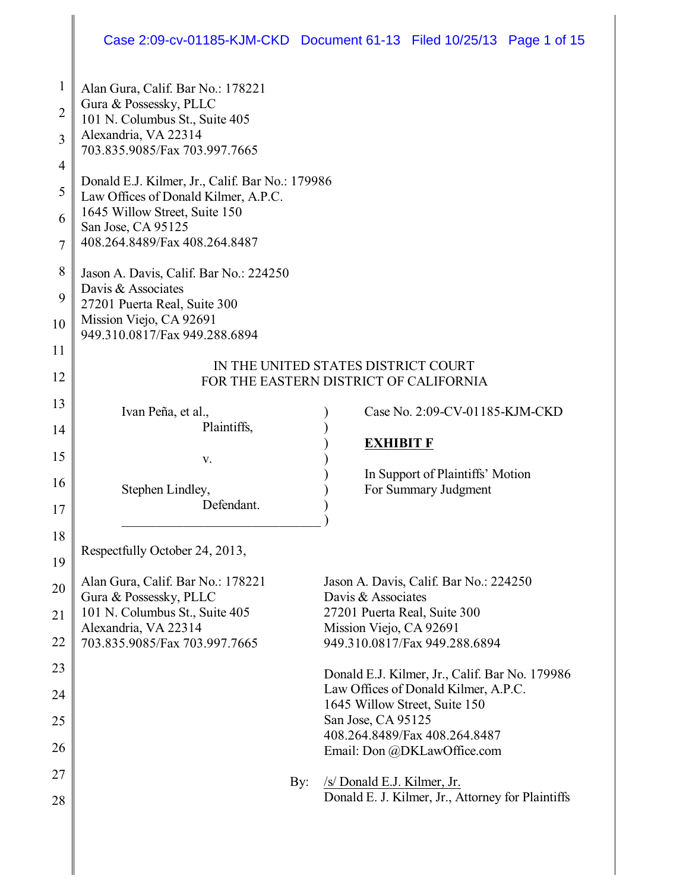## Case 2:09-cv-01185-KJM-CKD Document 61-13 Filed 10/25/13 Page 1 of 15

| $\mathbf{1}$   | Alan Gura, Calif. Bar No.: 178221                                                       |                                                                                        |
|----------------|-----------------------------------------------------------------------------------------|----------------------------------------------------------------------------------------|
| $\overline{c}$ | Gura & Possessky, PLLC                                                                  |                                                                                        |
|                | 101 N. Columbus St., Suite 405<br>Alexandria, VA 22314                                  |                                                                                        |
| 3              | 703.835.9085/Fax 703.997.7665                                                           |                                                                                        |
| $\overline{4}$ |                                                                                         |                                                                                        |
| 5              | Donald E.J. Kilmer, Jr., Calif. Bar No.: 179986<br>Law Offices of Donald Kilmer, A.P.C. |                                                                                        |
| 6              | 1645 Willow Street, Suite 150                                                           |                                                                                        |
| 7              | San Jose, CA 95125<br>408.264.8489/Fax 408.264.8487                                     |                                                                                        |
|                |                                                                                         |                                                                                        |
| 8              | Jason A. Davis, Calif. Bar No.: 224250<br>Davis & Associates                            |                                                                                        |
| 9              | 27201 Puerta Real, Suite 300                                                            |                                                                                        |
| 10             | Mission Viejo, CA 92691<br>949.310.0817/Fax 949.288.6894                                |                                                                                        |
| 11             |                                                                                         |                                                                                        |
| 12             | IN THE UNITED STATES DISTRICT COURT<br>FOR THE EASTERN DISTRICT OF CALIFORNIA           |                                                                                        |
|                |                                                                                         |                                                                                        |
| 13             | Ivan Peña, et al.,                                                                      | Case No. 2:09-CV-01185-KJM-CKD                                                         |
| 14             | Plaintiffs,                                                                             | <b>EXHIBIT F</b>                                                                       |
| 15             | V.                                                                                      |                                                                                        |
| 16             | Stephen Lindley,                                                                        | In Support of Plaintiffs' Motion<br>For Summary Judgment                               |
| 17             | Defendant.                                                                              |                                                                                        |
| 18             |                                                                                         |                                                                                        |
|                | Respectfully October 24, 2013,                                                          |                                                                                        |
| 19             |                                                                                         |                                                                                        |
| 20             | Alan Gura, Calif. Bar No.: 178221<br>Gura & Possessky, PLLC                             | Jason A. Davis, Calif. Bar No.: 224250<br>Davis & Associates                           |
| 21             | 101 N. Columbus St., Suite 405                                                          | 27201 Puerta Real, Suite 300                                                           |
| 22             | Alexandria, VA 22314<br>703.835.9085/Fax 703.997.7665                                   | Mission Viejo, CA 92691<br>949.310.0817/Fax 949.288.6894                               |
|                |                                                                                         |                                                                                        |
| 23             |                                                                                         | Donald E.J. Kilmer, Jr., Calif. Bar No. 179986<br>Law Offices of Donald Kilmer, A.P.C. |
| 24             |                                                                                         | 1645 Willow Street, Suite 150                                                          |
| 25             |                                                                                         | San Jose, CA 95125                                                                     |
| 26             |                                                                                         | 408.264.8489/Fax 408.264.8487<br>Email: Don @DKLawOffice.com                           |
| 27             |                                                                                         |                                                                                        |
| 28             | By:                                                                                     | /s/ Donald E.J. Kilmer, Jr.<br>Donald E. J. Kilmer, Jr., Attorney for Plaintiffs       |
|                |                                                                                         |                                                                                        |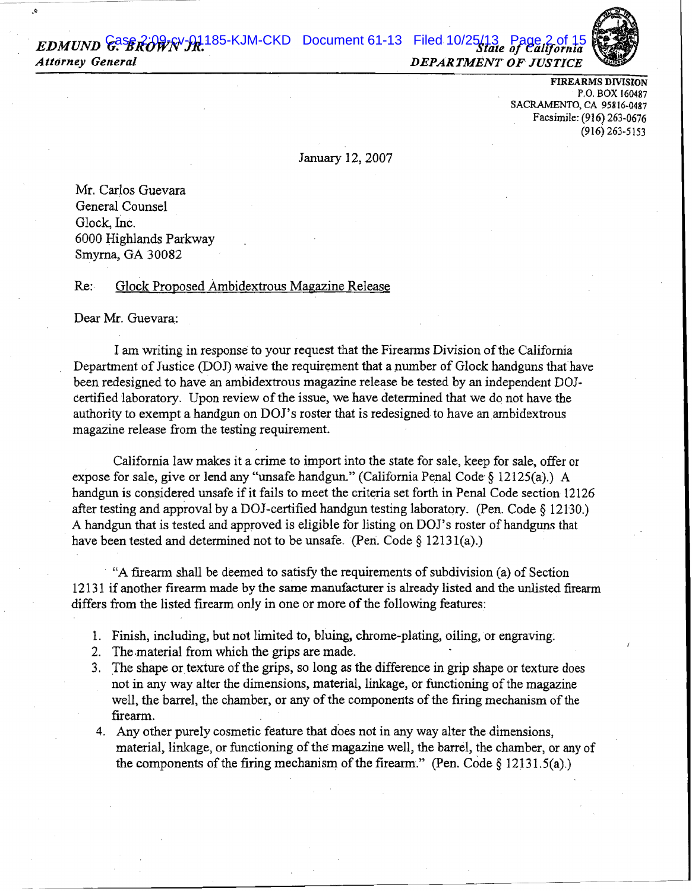*EDMUND*  $\frac{69.66}{60.66}$  *GOWN* JR. 185-KJM-CKD Document 61-13 Filed 10/25/13 Page 2 of 15 *Attorney General*



FIREARMS DIVISION P.O. BOX 160487 SACRAMENTO, CA 95816·0487 Facsimile: (916) 263-0676 (916) 263·5153

January 12, 2007

Mr. Carlos Guevara General Counsel Glock, Inc. 6000 Highlands Parkway Smyrna, GA 30082

....

Re: Glock Proposed Ambidextrous Magazine Release

Dear Mr. Guevara:

I am writing in response to your request that the Firearms Division ofthe California Department of Justice (DOJ) waive the requirement that a number of Glock handguns that have been redesigned to have an ambidextrous magazine release be tested by an independent DOJ· certified laboratory. Upon review of the issue, we have determined that we do not have the authority to exempt a handgun on DOl's roster that is redesigned to have an ambidextrous magazine release from the testing requirement.

California law makes it a crime to import into the state for sale, keep for sale, offer or expose for sale, give or lend any "unsafe handgun." (California Penal Code  $\S$  12125(a).) A handgun is considered unsafe if it fails to meet the criteria set forth in Penal Code section 12126 after testing and approval by a DOl-certified handgun testing laboratory. (Pen. Code § 12130.) A handgun that is tested and approved is eligible for listing on DO]'s roster of handguns that have been tested and determined not to be unsafe. (Pen. Code  $\S$  12131(a).)

 $A$  firearm shall be deemed to satisfy the requirements of subdivision (a) of Section 12131 if another firearm made by the same manufacturer is already listed and the unlisted firearm differs from the listed firearm only in one or more of the following features:

- 1. Finish, including, but not limited to, bluing, chrome-plating, oiling, or engraving.
- 2. The material from which the grips are made.
- 3. The shape or texture of the grips, so long as the difference in grip shape or texture does not in any way alter the dimensions, material, linkage, or functioning of the magazine well, the barrel, the chamber, or any of the components of the firing mechanism of the firearm.
- 4. Any other purely cosmetic feature that does not in any way alter the dimensions, material, linkage, or functioning of the magazine well, the barrel, the chamber, or any of the components of the firing mechanism of the firearm." (Pen. Code  $\S$  12131.5(a).)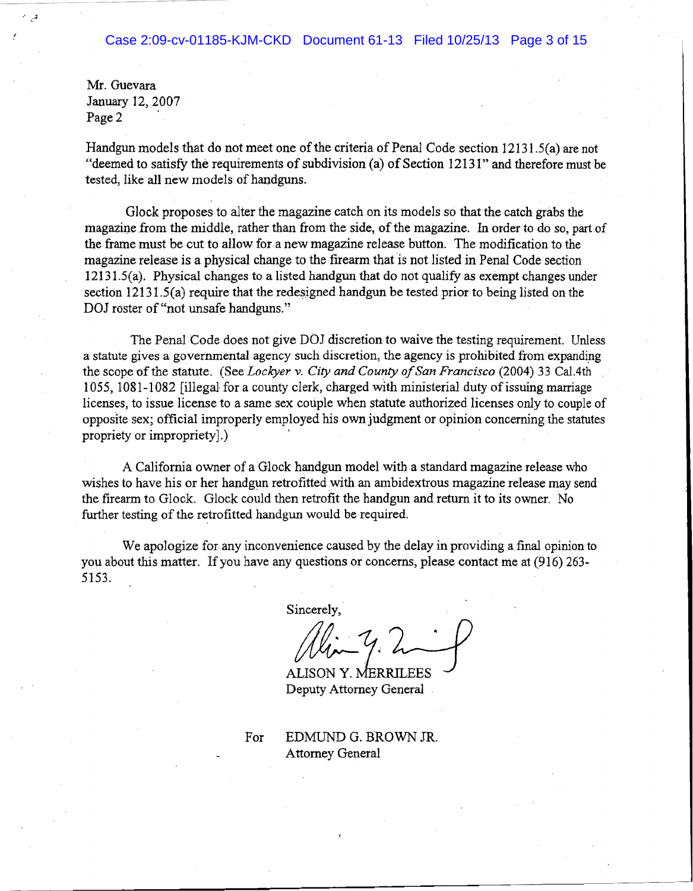Mr. Guevara January 12,2007 Page 2

Handgun models that do not meet one of the criteria of Penal Code section 12131.5(a) are not "deemed to satisfy the requirements of subdivision (a) of Section 12131" and therefore must be tested, like **all** new models of handguns.

Glock proposes to alter the magazine catch on its models so that the catch grabs the magazine from the middle, rather than from the side, of the magazine. In order to do so, part of the frame must be cut to allow for a new magazine release button. The modification to the magazine release is a physical change to the firearm that is not listed in Penal Code section 12131.5(a). Physical changes to a listed handgun that do not qualify as exempt changes under section 12131.5(a) require that the redesigned handgun be tested prior to being listed on the *DOl* roster of "not unsafe handguns."

The Penal Code does not give DOl discretion to waive the testing requiremerit. Unless a statute gives a governmental agency such discretion, the agency is prohibited from expandipg the scope ofthe statute. (See *Lockyer* v. *City and County afSan Francisco* (2004) 33 CalAth 1055, 1081-1082 *fillegal* for a county clerk, charged with ministerial duty of issuing marriage licenses, to issue license to a same sex couple when statute authorized licenses only to couple of opposite sex; official improperly employed his own judgment or opinion concerning the statutes propriety or impropriety].) ,

A California owner of a Glock handgun model with a standard magazine release who wishes to have his or her handgun retrofitted with an ambidextrous magazine release may send the firearm to Glock. Glock could then retrofit the handgun and return it to its owner. No further testing of the retrofitted handgun would be required.

We apologize for any inconvenience caused by the delay in providing a final opinion to you about this matter. If you have any questions or concerns, please contact me at (916) 263-5153.

Sincerely,.

14 - 7. 2 - P

ALISON Y. MERRILEES Deputy Attorney General

For EDMUND G. BROWN JR. Attorney General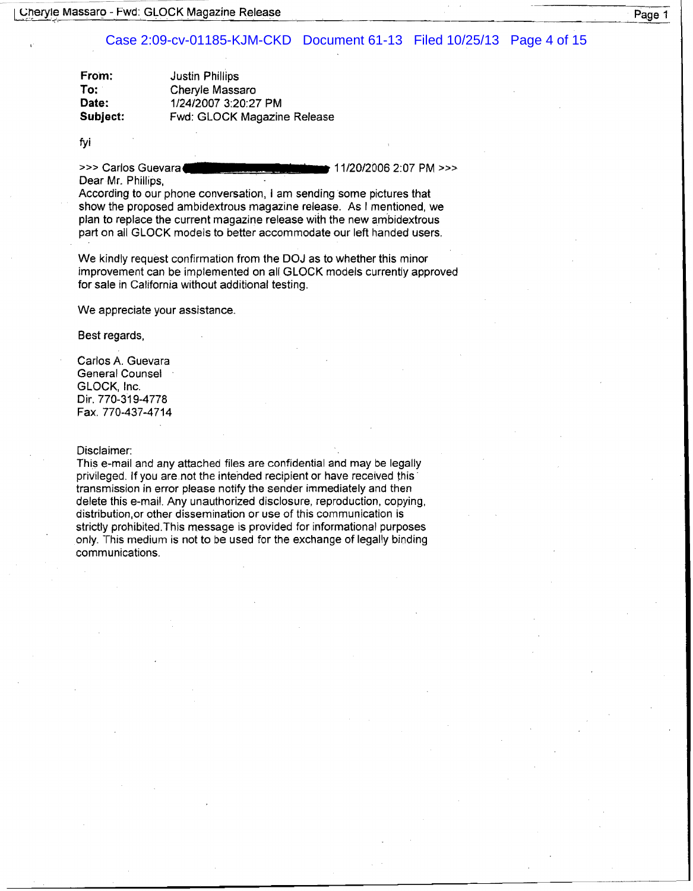### Case 2:09-cv-01185-KJM-CKD Document 61-13 Filed 10/25/13 Page 4 of 15

| From:    | <b>Justin Phillips</b>      |
|----------|-----------------------------|
| To:      | Cheryle Massaro             |
| Date:    | 1/24/2007 3:20:27 PM        |
| Subject: | Fwd: GLOCK Magazine Release |

fyi

Dear Mr. Phillips,

>>> Carlos Guevara **11/20/2006 2:07 PM >>>** 

According to our phone conversation, I am sending some pictures that show the proposed ambidextrous magazine release. As I mentioned, we plan to replace the current magazine release with the new ambidextrous part on all GLOCK models to better accommodate our left handed users.

We kindly request confirmation from the DOJ as to whether this minor improvement can be implemented on all GLOCK models currently approved for sale in California without additional testing.

We appreciate your assistance.

Best regards,

Carlos A. Guevara General Counsel GLOCK, Inc. Dir.770-319-4778 Fax. 770-437-4714

#### Disclaimer:

This e-mail and any attached files are confidential and may be legally privileged. If you are not the intehded recipient or have received this' transmission in error please notify the sender immediately and then delete this e-mail. Any unauthorized disclosure, reproduction, copying, distribution,or other dissemination or use of this communication is strictly prohibited.This message is provided for informational purposes only. This medium is not to be used for the exchange of legally binding communications.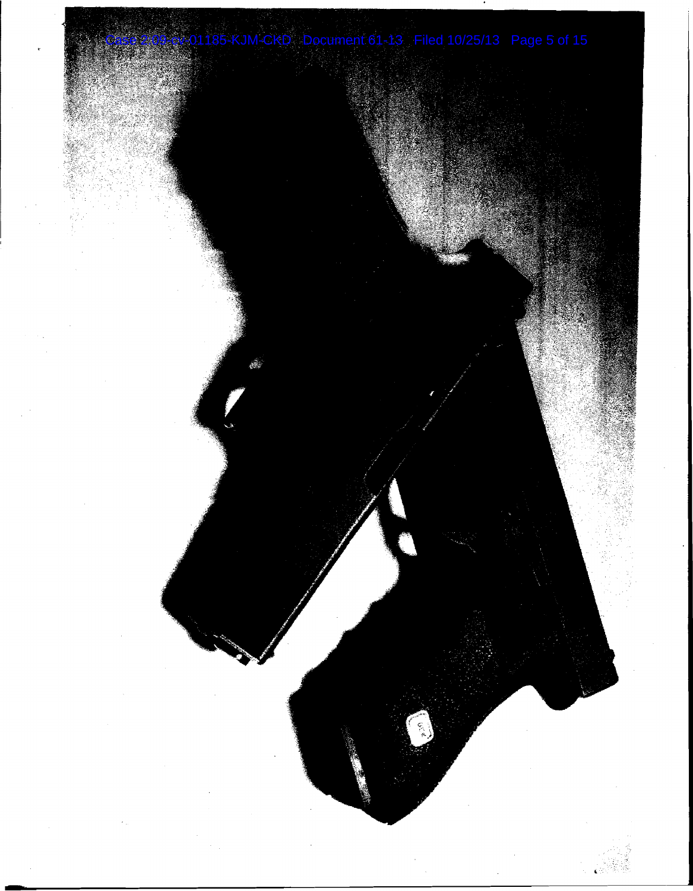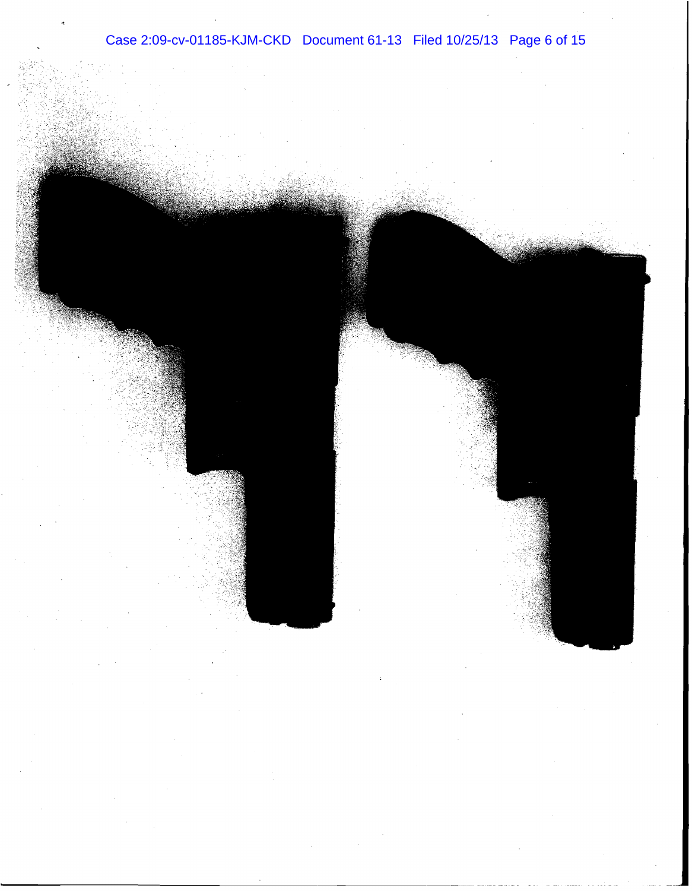## Case 2:09-cv-01185-KJM-CKD Document 61-13 Filed 10/25/13 Page 6 of 15

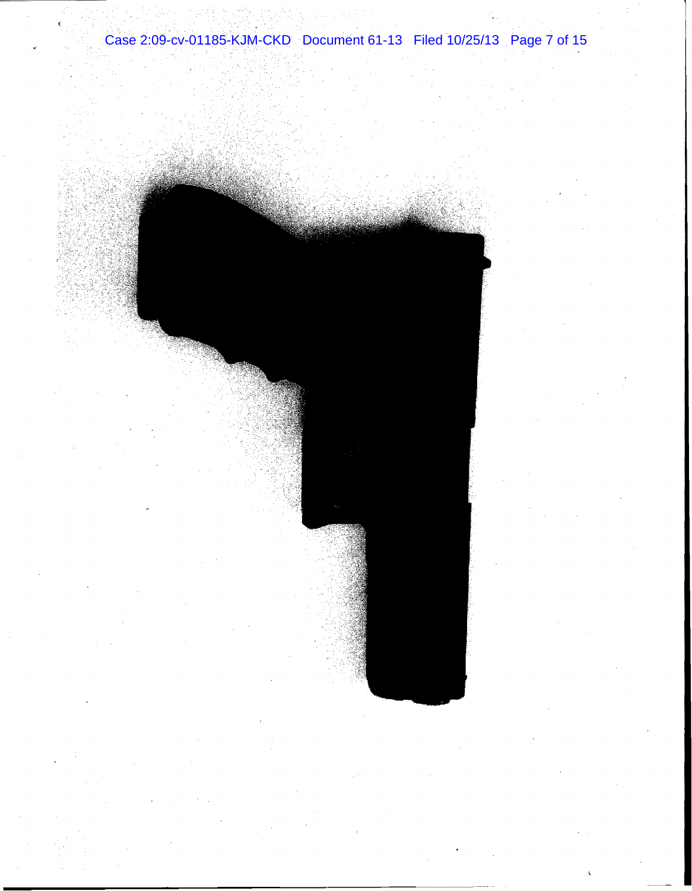

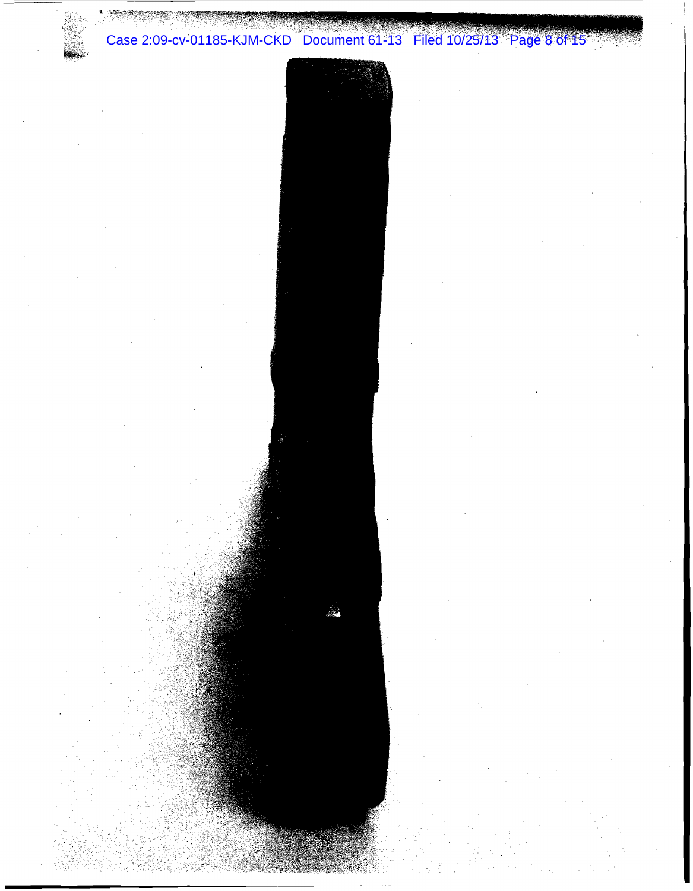# Case 2:09-cv-01185-KJM-CKD Document 61-13 Filed 10/25/13 Page 8 of 15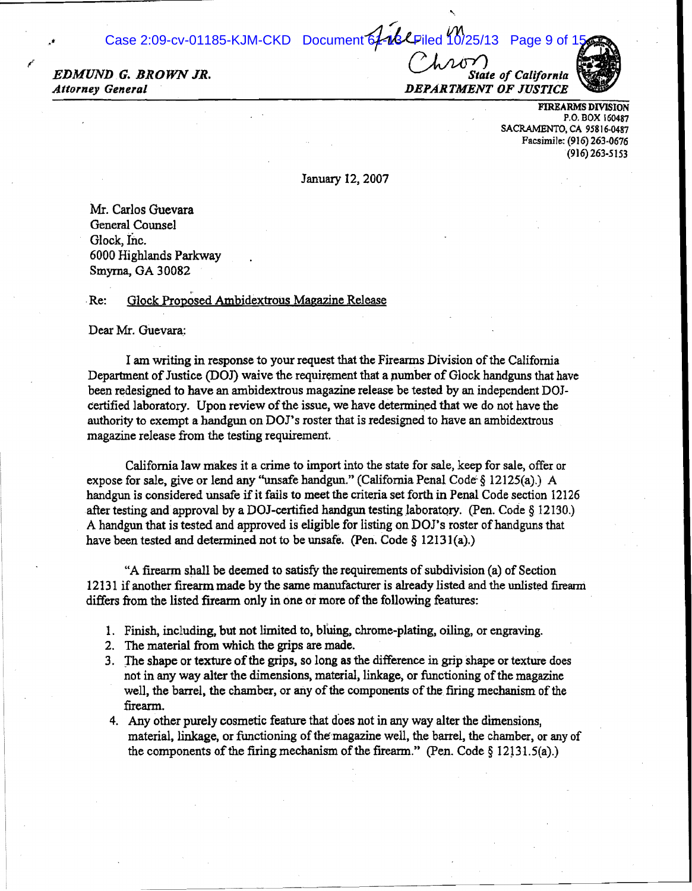*EDMUND G. BROWN JR.* **Attorney** *General* 

Case 2:09-cv-01185-KJM-CKD Document 61-13 Filed 10/25/13 Page 9 of 15<br>D G. BROWN JR.<br>D G. BROWN JR. *DEPARTMENT OF JUSTICE •*



FIREARMS DIVISION P.O. BOX 160487 SACRAMENTO. CA 95816-0487 Facsimile: (916) 263-0676 (916)263-5153

January 12, 2007

Mr. Carlos Guevara General Counsel Glock, Inc. 6000 Highlands Parkway Smyrna, GA 30082

#### .Re: Glock Proposed Ambidextrous Magazine Release

Dear Mr. Guevara.:

I am writing in response to your request that the Firearms Division ofthe California Department of Justice (DOJ) waive the requirement that a number of Glock handguns that have been redesigned to have an ambidextrous magazine release be tested by an independent DOJcertified laboratory. Upon review of the issue, we have determined that we do not have the authority to exempt a handgun on DOJ's roster that is redesigned to have an ambidextrous magazine release from the testing requirement.

California law makes it a crime to import into the state for sale, keep for sale, offer or expose for sale, give or lend any "unsafe handgun." (California Penal Code'§ 12125(a).) A handgun is considered unsafe if it fails to meet the criteria set forth in Penal Code section 12126 after testing and approval by a DOJ-certified handgun testing laboratory. (Pen. Code § 12130.) A handgun that is tested and approved is eligible for listing on DOl's roster ofhandguns that have been tested and determined not to be unsafe. (Pen. Code  $\S$  12131(a).)

"A firearm shall be deemed to satisfy the requirements of subdivision (a) of Section 12131 if another firearm made by the same manufacturer is already listed and the unlisted firearm differs from the listed firearm only in one or more of the following features:

- 1. Finish, including, but not limited to, bluing, chrome-plating, oiling, or engraving.
- 2. The material from which the grips are made.
- 3. The shape or texture of the grips, so long as the difference in grip shape or texture does not in any way alter the dimensions, material, linkage, or functioning of the magazine well, the barrel, the chamber, or any of the components of the firing mechanism of the firearm.
- 4. Any other purely cosmetic feature that does not in any way alter the dimensions, material, linkage, or functioning of the magazine well, the barrel, the chamber, or any of the components of the firing mechanism of the firearm." (Pen. Code  $\S$  12131.5(a).)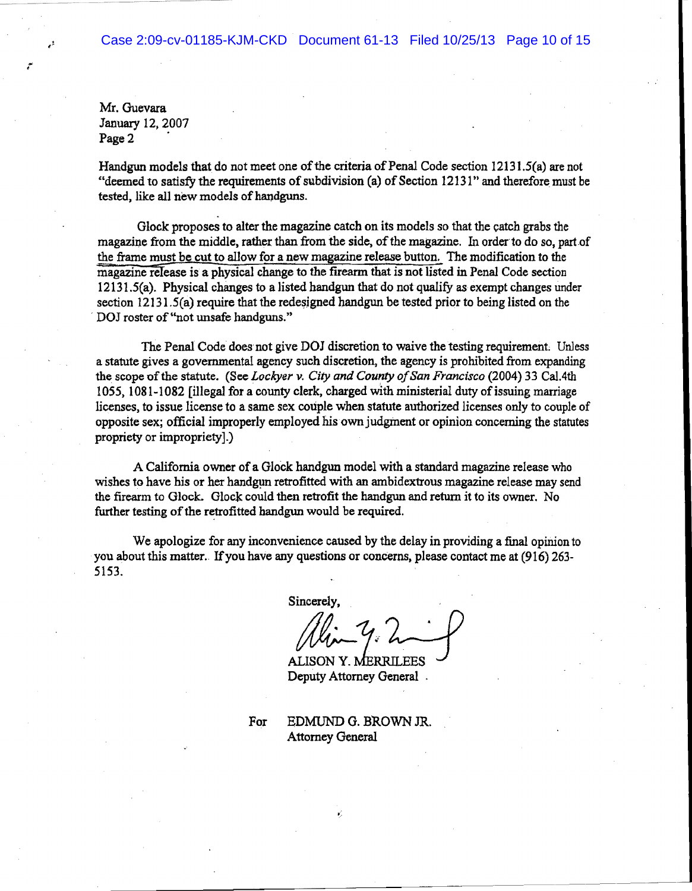Mr. Guevara January 12,2007 Page 2

. "

> Handgun models that do not meet one of the criteria of Penal Code section 12131.5(a) are not "deemed to satisfy the requirements of subdivision (a) of Section 12131" and therefore must be tested, like all new models of handguns.

> . Glock proposes to alter the magazine catch on its models so that the catch grabs the magazine from the middle, rather than from the side, of the magazine. In order to do so, part of the frame must be cut to allow for a new magazine release button. The modification to the magazine release is a physical change to the firearm that is not listed in Penal Code section 12131.5(a). Physical changes to a listed handgun that do notqualify as exempt changes under section  $12131.5(a)$  require that the redesigned handgun be tested prior to being listed on the , DOJ roster of "not unsafe handguns."

> The Penal Code does not give DOJ discretion to waive the testing requirement. Unless a statute gives a governmental agency such discretion, the agency is prohibited from expanding the scope ofthe statute. (See *Lockyer v. City and County ofSan Francisco* (2004) 33 Cal.4th 1055, 1081 1082 [illegal for a county clerk, charged with ministerial duty ofissuing marriage licenses, to issue license to a same sex couple when statute authorized licenses only to couple of opposite sex; official improperly employed his own judgment or opinion concerning the statutes propriety or impropriety].)

A California owner of a Glock handgun model with a standard magazine release who wishes to have his or her handgun retrofitted with an ambidextrous magazine release may send the firearm to Glock. Glock could then retrofit the handgun and return it to its owner. No further testing of the retrofitted handgun would be required.

We apologize for any inconvenience caused by the delay in providing a final opinion to you about this matter. Ifyou have any questions or concerns, please contact me at (916) 263- 5153.

Sincerely,

incerely,<br>*Min*  $y \sim 2$ 

ALISON Y. MERRILEES Deputy Attorney General .

For EDMUND G. BROWN JR. Attorney General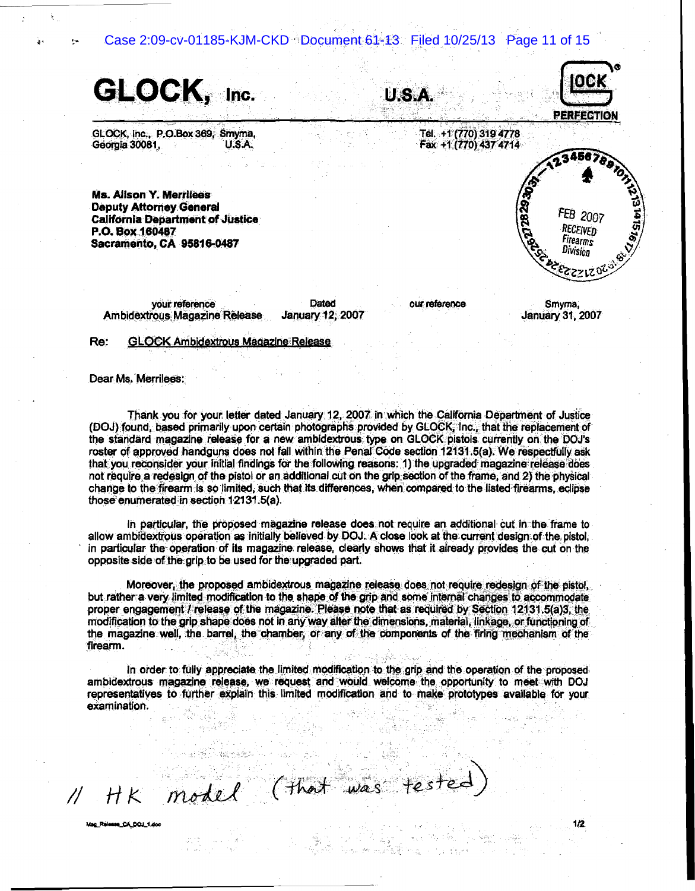Case 2:09-cv-01185-KJM-CKD Document 61-13 Filed 10/25/13 Page 11 of 15

GLOCK, Inc.

ä,

GLOCK, Inc., P.O.Box 369. Smvma. Georgia 30081.  $U.S.A.$ 

Ms. Allson Y. Merrilees **Deputy Attorney General California Department of Justice** P.O. Box 160487 **Sacramento, CA 95816-0487** 

vour reference Ambidextrous Magazine Release

Dated January 12, 2007 our reference

Tel. +1 (770) 319 4778

Fax +1 (770) 437 4714

U.S.A

23456789707 FEB 2007 **RECEIVED Firearms** Division **AZEZZZZOU** 

**nck** 

**PERFECTION** 

Smyma. January 31, 2007

 $1/2$ 

na Kilo Igri na Krista<br>Seri metalak manculatan

Re: **GLOCK Ambidextrous Magazine Release** 

Dear Ms. Merrilees:

Thank you for your letter dated January 12, 2007 in which the California Department of Justice (DOJ) found, based primarily upon certain photographs provided by GLOCK, Inc., that the replacement of the standard magazine release for a new ambidextrous type on GLOCK pistols currently on the DOJ's roster of approved handguns does not fall within the Penal Code section 12131.5(a). We respectfully ask that you reconsider your initial findings for the following reasons: 1) the upgraded magazine release does not require a redesign of the pistol or an additional cut on the grip section of the frame, and 2) the physical change to the firearm is so limited, such that its differences, when compared to the listed firearms, eclipse those enumerated in section 12131.5(a).

In particular, the proposed magazine release does not require an additional cut in the frame to allow ambidextrous operation as initially believed by DOJ. A close look at the current design of the pistol, in particular the operation of its magazine release, clearly shows that it already provides the cut on the opposite side of the grip to be used for the upgraded part.

Moreover, the proposed ambidextrous magazine release does not require redesign of the pistol, but rather a very limited modification to the shape of the grip and some internal changes to accommodate proper engagement / release of the magazine. Please note that as regulred by Section 12131.5(a)3, the modification to the grip shape does not in any way alter the dimensions, material, linkage, or functioning of the magazine well, the barrel, the chamber, or any of the components of the firing mechanism of the firearm.

In order to fully appreciate the limited modification to the grip and the operation of the proposed ambidextrous magazine release, we request and would welcome the opportunity to meet with DOJ representatives to further explain this limited modification and to make prototypes available for your examination.

model (that was tested

**ARATE** 

i da ed é trium

Mag Release CA DOJ 1.8cc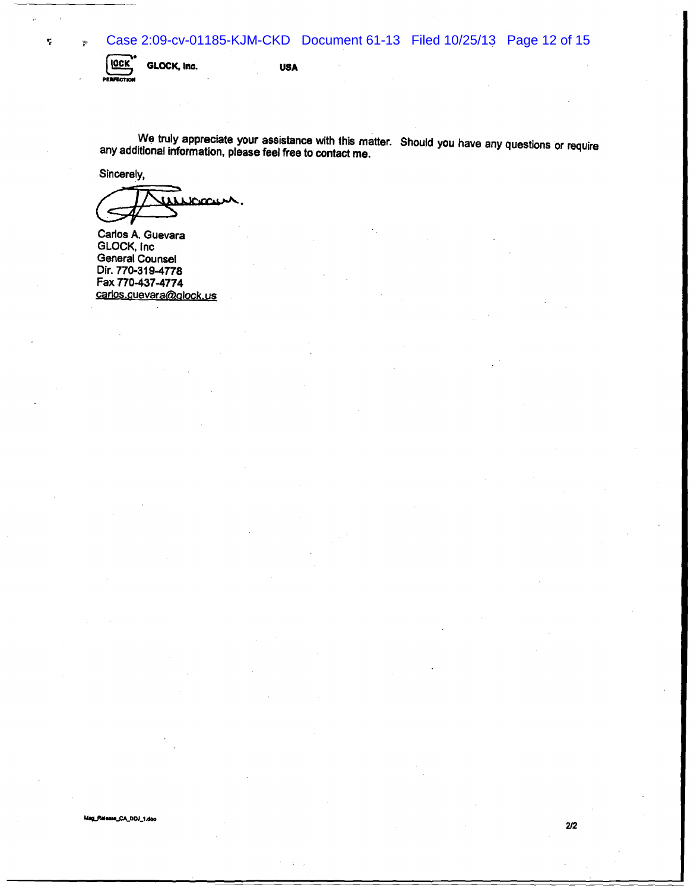Case 2:09-cv-01185-KJM-CKD Document 61-13 Filed 10/25/13 Page 12 of 15



 $\mathbf{r}$ 

 $\mathbf{y}$ 

**USA**

We truly appreciate your assistance with this matter. Should you have any questions or require any additional information, please feel free to contact me.

Sincerely,

 $\Gamma$ 

Carlos A. Guevara GLOCK, Inc General Counsel Oir.770-319-4778 Fax 770-437-4774 carlos.guevara@glock.us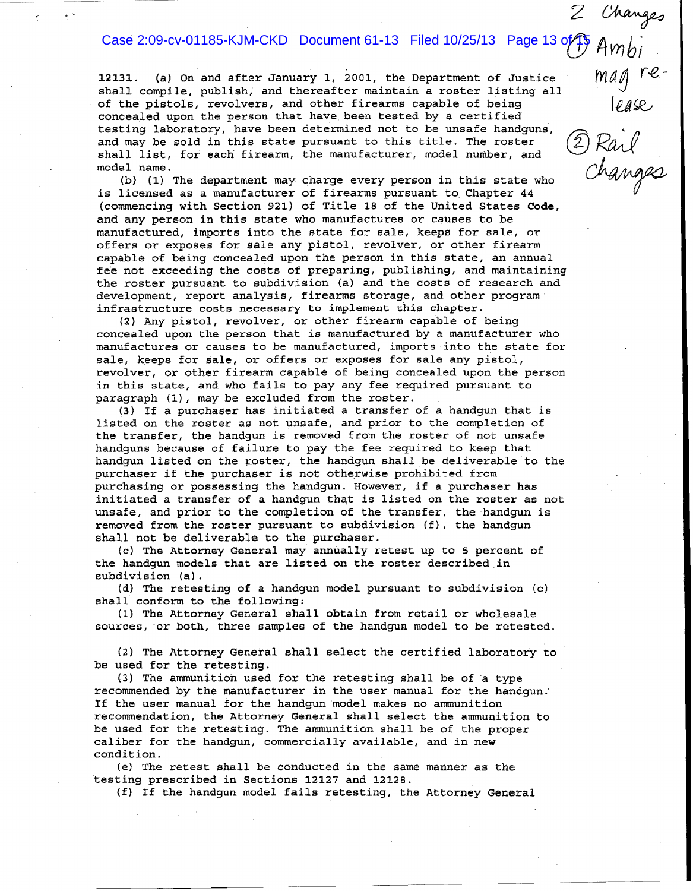# Case 2:09-cv-01185-KJM-CKD Document 61-13 Filed 10/25/13 Page 13 of 15

12131. (a) On and after January I, 2001, the Department of Justice shall compile, publish, and thereafter maintain <sup>a</sup> roster listing all of the pistols, revolvers, and other firearms capable of being concealed upon the person that have been tested by a certified testing laboratory, have been determined not to be unsafe handguns, and may be sold in this state pursuant to this title. The roster shall list, for each firearm, the manufacturer, model number, and model name.

, '

(b) (1) The department may charge every person in this state who is licensed as <sup>a</sup> manufacturer of firearms pursuant to Chapter <sup>44</sup> (commencing with Section 921) of Title 18 of the United states Code, and any person in this state who manufactures or causes to be manufactured, imports into the state for sale, keeps for sale, or offers or exposes for sale any pistol, revolver, or other firearm capable of being concealed upon the person in this state, an annual fee not exceeding the costs of preparing, publishing, and maintaining the roster pursuant to subdivision (a) and the costs of research and development, report analysis, firearms storage, and other program infrastructure costs necessary to implement this chapter.

(2) Any pistol, revolver, or other firearm capable of being concealed upon the person that is manufactured by a manufacturer who manufactures or causes to be manufactured, imports into the state for sale, keeps for sale, or offers or exposes for sale any pistol, revolver, or other firearm capable of being concealed upon the person in this state, and who fails to pay any fee required pursuant to paragraph (1), may be excluded from the roster.

(3) If a purchaser has initiated a transfer of a handgun that is listed on the roster as not unsafe, and prior to the completion of the transfer, the handgun is removed from the roster of not unsafe handguns because of failure to pay the fee required to keep that handgun listed on the roster, the handgun shall be deliverable to the purchaser if the purchaser is not otherwise prohibited from purchasing or possessing the handgun. However, if <sup>a</sup> purchaser has initiated a transfer of a handgun that is listed on the roster as not unsafe, and prior to the completion of the transfer, the handgun is removed from the roster pursuant to subdivision (f), the handgun shall not be deliverable to the purchaser.

(c) The Attorney General may annually retest up to 5 percent of the handgun models that are listed on the roster described in subdivision (a).

(d) The retesting of a handgun model pursuant to subdivision *(c)* shall conform to the following:

(1) The Attorney General shall obtain from retail or wholesale sources, or both, three samples of the handgun model to be retested.

(2) The Attorney General shall select the certified laboratory to be used for the retesting.

(3) The ammunition used for the retesting shall be of 'a type recommended by the manufacturer in the user manual for the handgun: If the user manual for the handgun model makes no ammunition recommendation, the Attorney General shall select the ammunition to be used for the retesting. The ammunition shall be of the proper caliber for the handgun, commercially available, and in new condition.

(e) The retest shall be conducted in the same manner as the testing prescribed in Sections 12127 and 12128.

(f) If the handgun model fails retesting, the Attorney General

 $U^{\mathfrak{p}}$  Ambi *mag r-e-*∣ease

2 Changes

Rail<br>Changes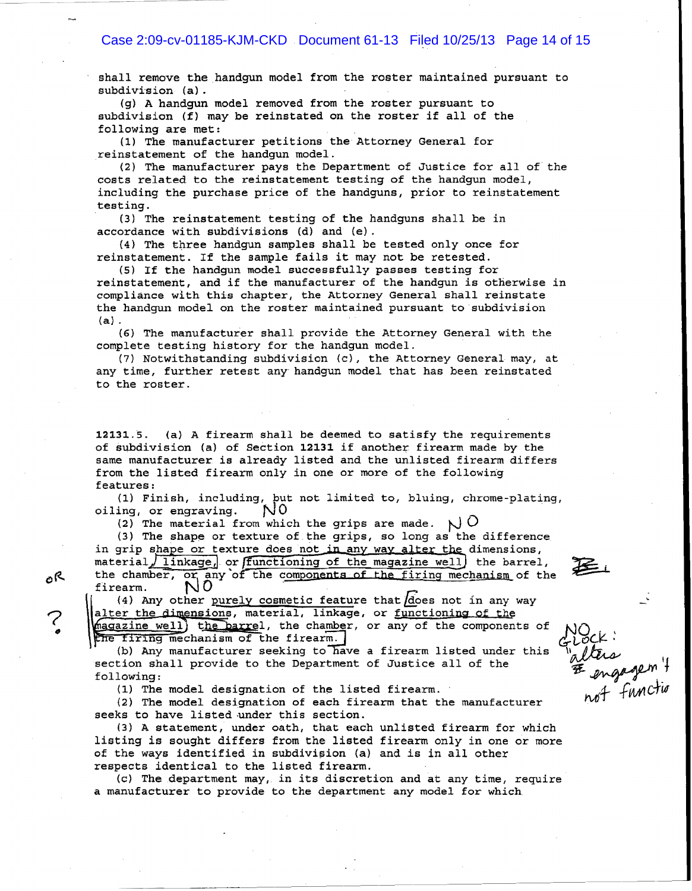#### Case 2:09-cv-01185-KJM-CKD Document 61-13 Filed 10/25/13 Page 14 of 15

shall remove the handgun model from the roster maintained pursuant to subdivision (a).

(g) A handgun model removed from the roster pursuant to subdivision (f) may be reinstated on the roster if all of the following are met:

(1) The manufacturer petitions the Attorney General for reinstatement of the handgun model.

(2) The manufacturer pays the Department of Justice for all of the costs related to the reinstatement testing of the handgun model, including the purchase price of the handguns, prior to reinstatement testing.

. (3) The reinstatement testing of the handguns shall be in accordance with subdivisions (d) and (e).

 $(4)$  The three handgun samples shall be tested only once for reinstatement. If the sample fails it may not be retested.

(S) If the handgun model successfully passes testing for reinstatement, and if the manufacturer of the handgun is otherwise in compliance with this chapter, the Attorney General shall reinstate the handgun model on the roster maintained pursuant to subdivision  $(a)$ .

(6) The manufacturer shall provide the Attorney General with the complete testing history for the handgun model.

(?) Notwithstanding subdivision *{C}I* the Attorney General may, at any time, further retest any handgun model that has been reinstated to the roster.

12131.5. (a) A firearm shall be deemed to satisfy the requirements of subdivision (a) of Section 12131 if another firearm made by the same manufacturer *is* already listed and the unlisted firearm differs from the listed firearm only *in* one or more of the following features:

(1) Finish, including, but not limited to, bluing, chrome-plating, ing, or engraving.  $\bigwedge^1 0$ oiling, or engraving.

(2) The material from which the grips are made.  $\bigwedge$  O

 $(3)$  The shape or texture of the grips, so long as the difference in grip shape or texture does not in any way alter the dimensions,  $materal$  linkage, or functioning of the magazine well) the barrel, the chamber, or any of the components of the firing mechanism of the firearm.  $\bigwedge^{\bullet}O$ firearm.

(4) Any other purely cosmetic feature that  $d$  does not in any way alter the dimensions, material, linkage, or functioning of the magazine well) the barrel, the chamber, or any of the components of the firing mechanism of the firearm.

(b) Any manufacturer seeking to have a firearm listed under this section shall provide to the Department of Justice all of the following:

 $(1)$  The model designation of the listed firearm.

?.,

o۴

(2) The model designation of each firearm that the manufacturer seeks to have listed under this section.

(3) A statement, under oath, that each unlisted firearm for which listing is sought differs from the listed firearm only in one or more and is in all otherwise the subdivision (a) and is in all other respects identical to the listed firearm.

(c) The department may, in its discretion and at any time, require a manufacturer to provide to the department any model for which

llers<br>- engagem 4<br>not functio

---------------------